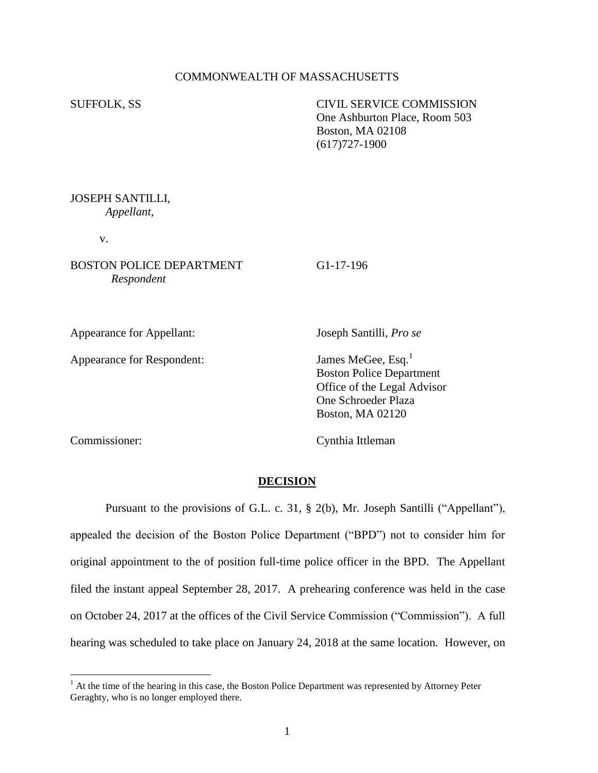# COMMONWEALTH OF MASSACHUSETTS

SUFFOLK, SS CIVIL SERVICE COMMISSION One Ashburton Place, Room 503 Boston, MA 02108 (617)727-1900

## JOSEPH SANTILLI, *Appellant,*

v.

# BOSTON POLICE DEPARTMENT G1-17-196 *Respondent*

Appearance for Appellant: Joseph Santilli, *Pro se*

Appearance for Respondent: James MeGee, Esq.<sup>1</sup>

 Boston Police Department Office of the Legal Advisor One Schroeder Plaza Boston, MA 02120

 $\overline{a}$ 

Commissioner: Cynthia Ittleman

#### **DECISION**

Pursuant to the provisions of G.L. c. 31, § 2(b), Mr. Joseph Santilli ("Appellant"), appealed the decision of the Boston Police Department ("BPD") not to consider him for original appointment to the of position full-time police officer in the BPD. The Appellant filed the instant appeal September 28, 2017. A prehearing conference was held in the case on October 24, 2017 at the offices of the Civil Service Commission ("Commission"). A full hearing was scheduled to take place on January 24, 2018 at the same location. However, on

<sup>&</sup>lt;sup>1</sup> At the time of the hearing in this case, the Boston Police Department was represented by Attorney Peter Geraghty, who is no longer employed there.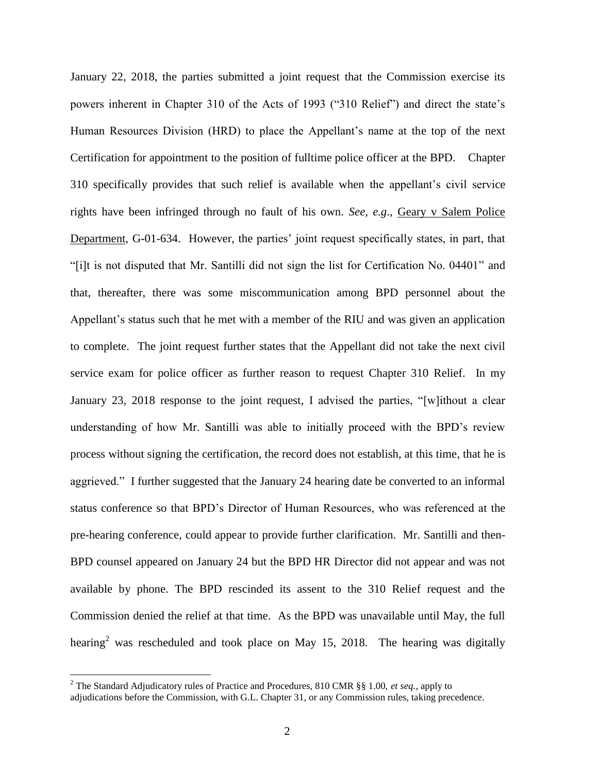January 22, 2018, the parties submitted a joint request that the Commission exercise its powers inherent in Chapter 310 of the Acts of 1993 ("310 Relief") and direct the state's Human Resources Division (HRD) to place the Appellant's name at the top of the next Certification for appointment to the position of fulltime police officer at the BPD. Chapter 310 specifically provides that such relief is available when the appellant's civil service rights have been infringed through no fault of his own. *See, e.g*., Geary v Salem Police Department, G-01-634. However, the parties' joint request specifically states, in part, that "[i]t is not disputed that Mr. Santilli did not sign the list for Certification No. 04401" and that, thereafter, there was some miscommunication among BPD personnel about the Appellant's status such that he met with a member of the RIU and was given an application to complete. The joint request further states that the Appellant did not take the next civil service exam for police officer as further reason to request Chapter 310 Relief. In my January 23, 2018 response to the joint request, I advised the parties, "[w]ithout a clear understanding of how Mr. Santilli was able to initially proceed with the BPD's review process without signing the certification, the record does not establish, at this time, that he is aggrieved." I further suggested that the January 24 hearing date be converted to an informal status conference so that BPD's Director of Human Resources, who was referenced at the pre-hearing conference, could appear to provide further clarification. Mr. Santilli and then-BPD counsel appeared on January 24 but the BPD HR Director did not appear and was not available by phone. The BPD rescinded its assent to the 310 Relief request and the Commission denied the relief at that time. As the BPD was unavailable until May, the full hearing<sup>2</sup> was rescheduled and took place on May 15, 2018. The hearing was digitally

<sup>2</sup> The Standard Adjudicatory rules of Practice and Procedures, 810 CMR §§ 1.00, *et seq.*, apply to adjudications before the Commission, with G.L. Chapter 31, or any Commission rules, taking precedence.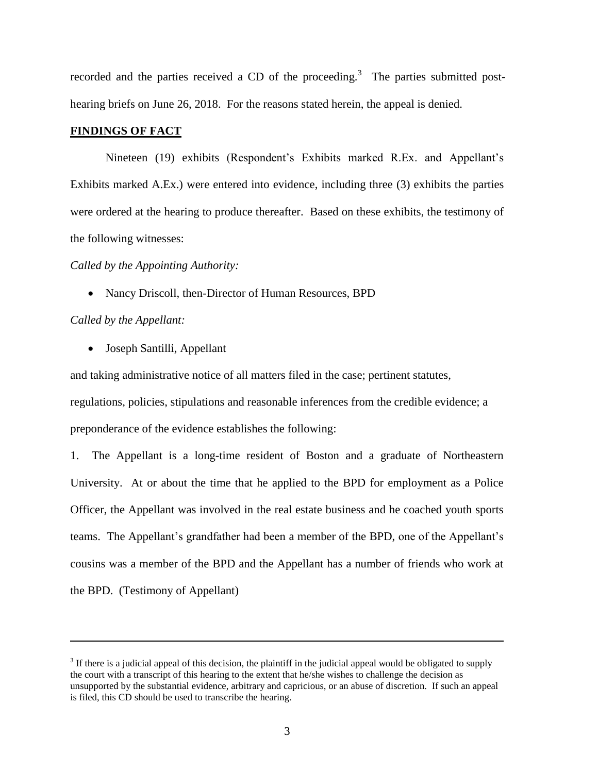recorded and the parties received a CD of the proceeding.<sup>3</sup> The parties submitted posthearing briefs on June 26, 2018. For the reasons stated herein, the appeal is denied.

## **FINDINGS OF FACT**

Nineteen (19) exhibits (Respondent's Exhibits marked R.Ex. and Appellant's Exhibits marked A.Ex.) were entered into evidence, including three (3) exhibits the parties were ordered at the hearing to produce thereafter. Based on these exhibits, the testimony of the following witnesses:

### *Called by the Appointing Authority:*

• Nancy Driscoll, then-Director of Human Resources, BPD

## *Called by the Appellant:*

 $\overline{a}$ 

Joseph Santilli, Appellant

and taking administrative notice of all matters filed in the case; pertinent statutes, regulations, policies, stipulations and reasonable inferences from the credible evidence; a preponderance of the evidence establishes the following:

1. The Appellant is a long-time resident of Boston and a graduate of Northeastern University. At or about the time that he applied to the BPD for employment as a Police Officer, the Appellant was involved in the real estate business and he coached youth sports teams. The Appellant's grandfather had been a member of the BPD, one of the Appellant's cousins was a member of the BPD and the Appellant has a number of friends who work at the BPD. (Testimony of Appellant)

 $3$  If there is a judicial appeal of this decision, the plaintiff in the judicial appeal would be obligated to supply the court with a transcript of this hearing to the extent that he/she wishes to challenge the decision as unsupported by the substantial evidence, arbitrary and capricious, or an abuse of discretion. If such an appeal is filed, this CD should be used to transcribe the hearing.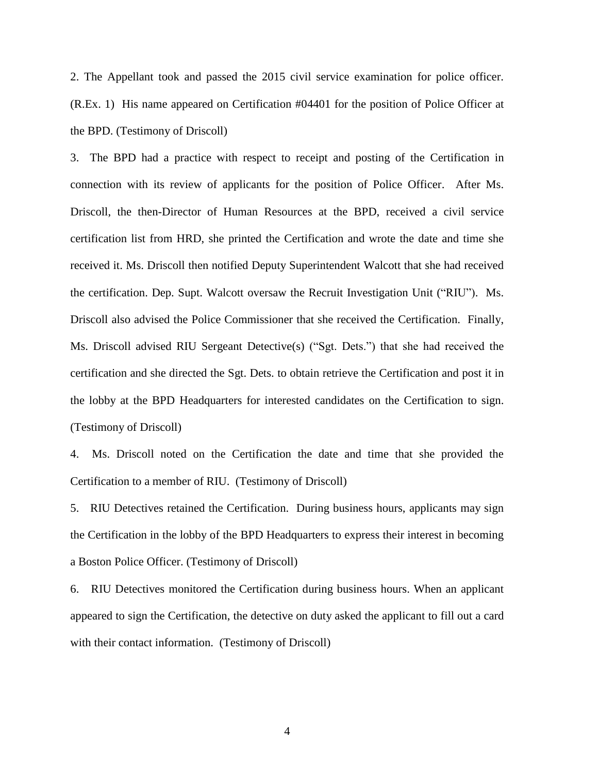2. The Appellant took and passed the 2015 civil service examination for police officer. (R.Ex. 1) His name appeared on Certification #04401 for the position of Police Officer at the BPD. (Testimony of Driscoll)

3. The BPD had a practice with respect to receipt and posting of the Certification in connection with its review of applicants for the position of Police Officer. After Ms. Driscoll, the then-Director of Human Resources at the BPD, received a civil service certification list from HRD, she printed the Certification and wrote the date and time she received it. Ms. Driscoll then notified Deputy Superintendent Walcott that she had received the certification. Dep. Supt. Walcott oversaw the Recruit Investigation Unit ("RIU"). Ms. Driscoll also advised the Police Commissioner that she received the Certification. Finally, Ms. Driscoll advised RIU Sergeant Detective(s) ("Sgt. Dets.") that she had received the certification and she directed the Sgt. Dets. to obtain retrieve the Certification and post it in the lobby at the BPD Headquarters for interested candidates on the Certification to sign. (Testimony of Driscoll)

4. Ms. Driscoll noted on the Certification the date and time that she provided the Certification to a member of RIU. (Testimony of Driscoll)

5. RIU Detectives retained the Certification. During business hours, applicants may sign the Certification in the lobby of the BPD Headquarters to express their interest in becoming a Boston Police Officer. (Testimony of Driscoll)

6. RIU Detectives monitored the Certification during business hours. When an applicant appeared to sign the Certification, the detective on duty asked the applicant to fill out a card with their contact information. (Testimony of Driscoll)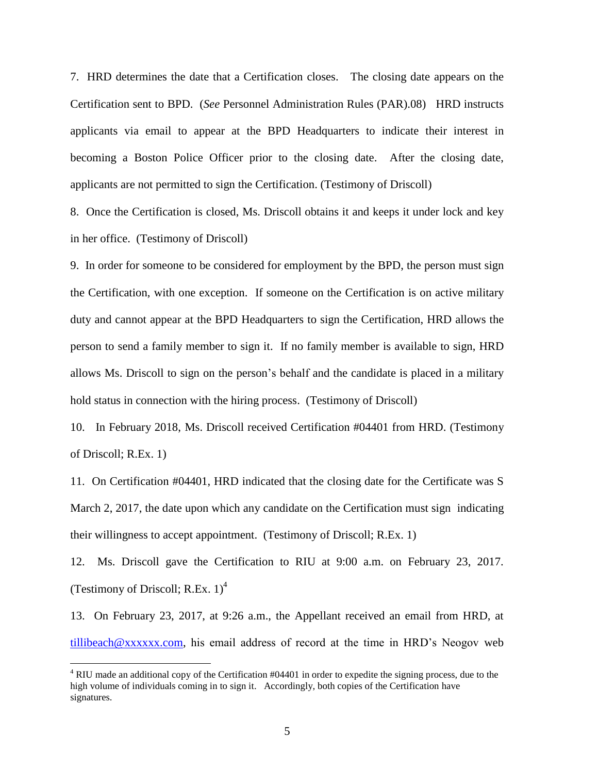7. HRD determines the date that a Certification closes. The closing date appears on the Certification sent to BPD. (*See* Personnel Administration Rules (PAR).08) HRD instructs applicants via email to appear at the BPD Headquarters to indicate their interest in becoming a Boston Police Officer prior to the closing date. After the closing date, applicants are not permitted to sign the Certification. (Testimony of Driscoll)

8. Once the Certification is closed, Ms. Driscoll obtains it and keeps it under lock and key in her office. (Testimony of Driscoll)

9. In order for someone to be considered for employment by the BPD, the person must sign the Certification, with one exception. If someone on the Certification is on active military duty and cannot appear at the BPD Headquarters to sign the Certification, HRD allows the person to send a family member to sign it. If no family member is available to sign, HRD allows Ms. Driscoll to sign on the person's behalf and the candidate is placed in a military hold status in connection with the hiring process. (Testimony of Driscoll)

10. In February 2018, Ms. Driscoll received Certification #04401 from HRD. (Testimony of Driscoll; R.Ex. 1)

11. On Certification #04401, HRD indicated that the closing date for the Certificate was S March 2, 2017, the date upon which any candidate on the Certification must sign indicating their willingness to accept appointment. (Testimony of Driscoll; R.Ex. 1)

12. Ms. Driscoll gave the Certification to RIU at 9:00 a.m. on February 23, 2017. (Testimony of Driscoll; R.Ex.  $1)^4$ 

13. On February 23, 2017, at 9:26 a.m., the Appellant received an email from HRD, at [tillibeach@xxxxxx.com,](mailto:tillibeach@xxxxxx.com) his email address of record at the time in HRD's Neogov web

<sup>4</sup> RIU made an additional copy of the Certification #04401 in order to expedite the signing process, due to the high volume of individuals coming in to sign it. Accordingly, both copies of the Certification have signatures.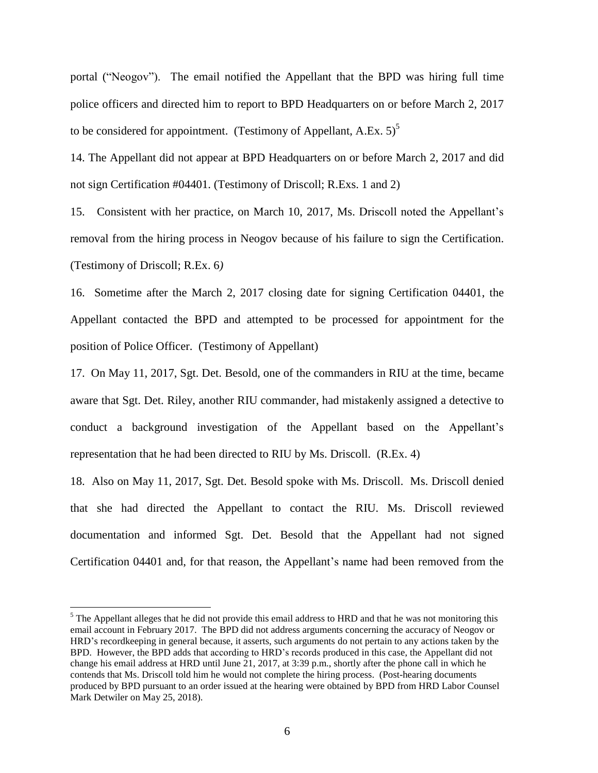portal ("Neogov"). The email notified the Appellant that the BPD was hiring full time police officers and directed him to report to BPD Headquarters on or before March 2, 2017 to be considered for appointment. (Testimony of Appellant, A.Ex.  $5$ )<sup>5</sup>

14. The Appellant did not appear at BPD Headquarters on or before March 2, 2017 and did not sign Certification #04401. (Testimony of Driscoll; R.Exs. 1 and 2)

15. Consistent with her practice, on March 10, 2017, Ms. Driscoll noted the Appellant's removal from the hiring process in Neogov because of his failure to sign the Certification. (Testimony of Driscoll; R.Ex. 6*)* 

16. Sometime after the March 2, 2017 closing date for signing Certification 04401, the Appellant contacted the BPD and attempted to be processed for appointment for the position of Police Officer. (Testimony of Appellant)

17. On May 11, 2017, Sgt. Det. Besold, one of the commanders in RIU at the time, became aware that Sgt. Det. Riley, another RIU commander, had mistakenly assigned a detective to conduct a background investigation of the Appellant based on the Appellant's representation that he had been directed to RIU by Ms. Driscoll. (R.Ex. 4)

18. Also on May 11, 2017, Sgt. Det. Besold spoke with Ms. Driscoll. Ms. Driscoll denied that she had directed the Appellant to contact the RIU. Ms. Driscoll reviewed documentation and informed Sgt. Det. Besold that the Appellant had not signed Certification 04401 and, for that reason, the Appellant's name had been removed from the

<sup>&</sup>lt;sup>5</sup> The Appellant alleges that he did not provide this email address to HRD and that he was not monitoring this email account in February 2017. The BPD did not address arguments concerning the accuracy of Neogov or HRD's recordkeeping in general because, it asserts, such arguments do not pertain to any actions taken by the BPD. However, the BPD adds that according to HRD's records produced in this case, the Appellant did not change his email address at HRD until June 21, 2017, at 3:39 p.m., shortly after the phone call in which he contends that Ms. Driscoll told him he would not complete the hiring process. (Post-hearing documents produced by BPD pursuant to an order issued at the hearing were obtained by BPD from HRD Labor Counsel Mark Detwiler on May 25, 2018).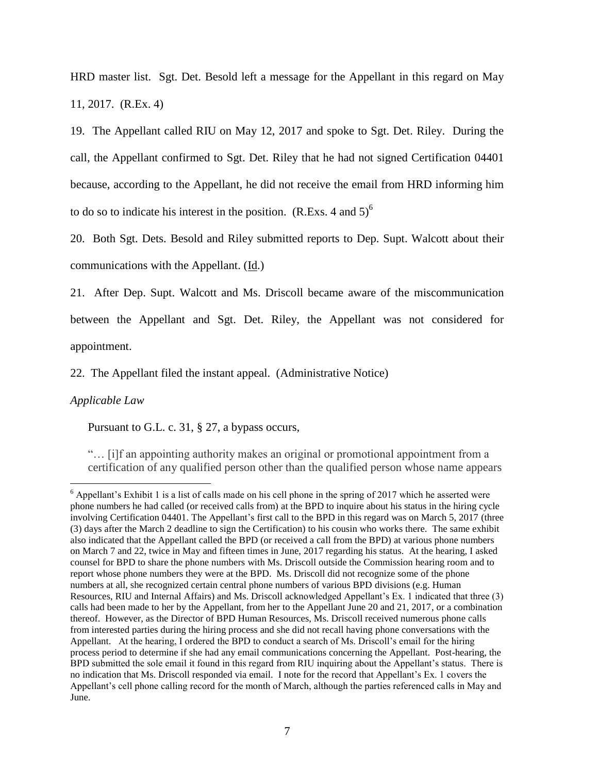HRD master list. Sgt. Det. Besold left a message for the Appellant in this regard on May 11, 2017. (R.Ex. 4)

19. The Appellant called RIU on May 12, 2017 and spoke to Sgt. Det. Riley. During the call, the Appellant confirmed to Sgt. Det. Riley that he had not signed Certification 04401 because, according to the Appellant, he did not receive the email from HRD informing him to do so to indicate his interest in the position.  $(R.Exs. 4 and 5)^6$ 

20. Both Sgt. Dets. Besold and Riley submitted reports to Dep. Supt. Walcott about their communications with the Appellant.  $(\underline{Id})$ .

21. After Dep. Supt. Walcott and Ms. Driscoll became aware of the miscommunication between the Appellant and Sgt. Det. Riley, the Appellant was not considered for appointment.

22. The Appellant filed the instant appeal. (Administrative Notice)

### *Applicable Law*

 $\overline{a}$ 

Pursuant to G.L. c. 31, § 27, a bypass occurs,

"… [i]f an appointing authority makes an original or promotional appointment from a certification of any qualified person other than the qualified person whose name appears

 $6$  Appellant's Exhibit 1 is a list of calls made on his cell phone in the spring of 2017 which he asserted were phone numbers he had called (or received calls from) at the BPD to inquire about his status in the hiring cycle involving Certification 04401. The Appellant's first call to the BPD in this regard was on March 5, 2017 (three (3) days after the March 2 deadline to sign the Certification) to his cousin who works there. The same exhibit also indicated that the Appellant called the BPD (or received a call from the BPD) at various phone numbers on March 7 and 22, twice in May and fifteen times in June, 2017 regarding his status. At the hearing, I asked counsel for BPD to share the phone numbers with Ms. Driscoll outside the Commission hearing room and to report whose phone numbers they were at the BPD. Ms. Driscoll did not recognize some of the phone numbers at all, she recognized certain central phone numbers of various BPD divisions (e.g. Human Resources, RIU and Internal Affairs) and Ms. Driscoll acknowledged Appellant's Ex. 1 indicated that three (3) calls had been made to her by the Appellant, from her to the Appellant June 20 and 21, 2017, or a combination thereof. However, as the Director of BPD Human Resources, Ms. Driscoll received numerous phone calls from interested parties during the hiring process and she did not recall having phone conversations with the Appellant. At the hearing, I ordered the BPD to conduct a search of Ms. Driscoll's email for the hiring process period to determine if she had any email communications concerning the Appellant. Post-hearing, the BPD submitted the sole email it found in this regard from RIU inquiring about the Appellant's status. There is no indication that Ms. Driscoll responded via email. I note for the record that Appellant's Ex. 1 covers the Appellant's cell phone calling record for the month of March, although the parties referenced calls in May and June.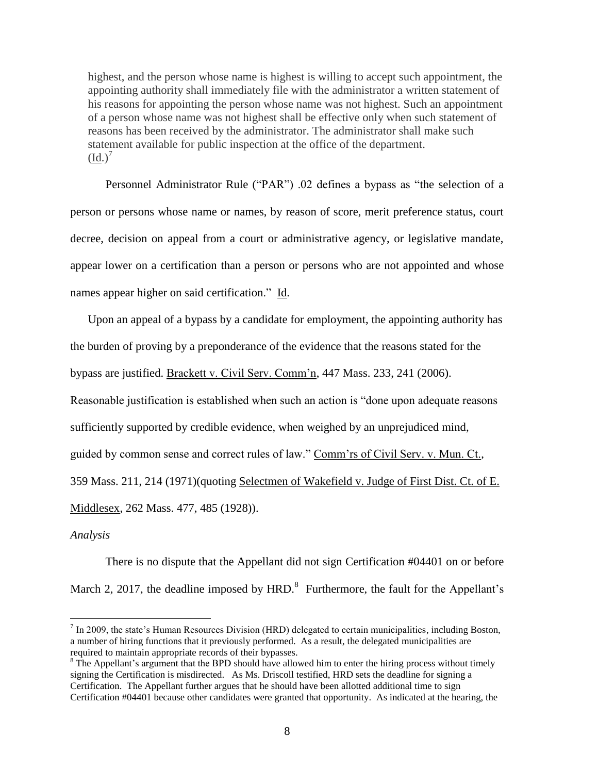highest, and the person whose name is highest is willing to accept such appointment, the appointing authority shall immediately file with the administrator a written statement of his reasons for appointing the person whose name was not highest. Such an appointment of a person whose name was not highest shall be effective only when such statement of reasons has been received by the administrator. The administrator shall make such statement available for public inspection at the office of the department.  $(Id.)^7$ 

Personnel Administrator Rule ("PAR") .02 defines a bypass as "the selection of a person or persons whose name or names, by reason of score, merit preference status, court decree, decision on appeal from a court or administrative agency, or legislative mandate, appear lower on a certification than a person or persons who are not appointed and whose names appear higher on said certification." Id.

Upon an appeal of a bypass by a candidate for employment, the appointing authority has the burden of proving by a preponderance of the evidence that the reasons stated for the bypass are justified. Brackett v. Civil Serv. Comm'n, 447 Mass. 233, 241 (2006).

Reasonable justification is established when such an action is "done upon adequate reasons

sufficiently supported by credible evidence, when weighed by an unprejudiced mind,

guided by common sense and correct rules of law." Comm'rs of Civil Serv. v. Mun. Ct.,

359 Mass. 211, 214 (1971)(quoting Selectmen of Wakefield v. Judge of First Dist. Ct. of E.

Middlesex, 262 Mass. 477, 485 (1928)).

#### *Analysis*

 $\overline{a}$ 

There is no dispute that the Appellant did not sign Certification #04401 on or before March 2, 2017, the deadline imposed by  $HRD$ <sup>8</sup> Furthermore, the fault for the Appellant's

 $<sup>7</sup>$  In 2009, the state's Human Resources Division (HRD) delegated to certain municipalities, including Boston,</sup> a number of hiring functions that it previously performed. As a result, the delegated municipalities are required to maintain appropriate records of their bypasses.

<sup>&</sup>lt;sup>8</sup> The Appellant's argument that the BPD should have allowed him to enter the hiring process without timely signing the Certification is misdirected. As Ms. Driscoll testified, HRD sets the deadline for signing a Certification. The Appellant further argues that he should have been allotted additional time to sign Certification #04401 because other candidates were granted that opportunity. As indicated at the hearing, the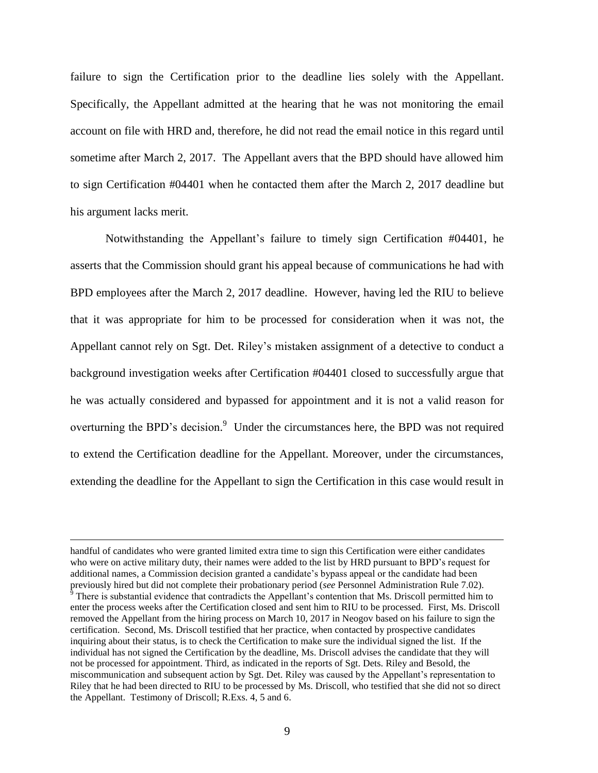failure to sign the Certification prior to the deadline lies solely with the Appellant. Specifically, the Appellant admitted at the hearing that he was not monitoring the email account on file with HRD and, therefore, he did not read the email notice in this regard until sometime after March 2, 2017. The Appellant avers that the BPD should have allowed him to sign Certification #04401 when he contacted them after the March 2, 2017 deadline but his argument lacks merit.

Notwithstanding the Appellant's failure to timely sign Certification #04401, he asserts that the Commission should grant his appeal because of communications he had with BPD employees after the March 2, 2017 deadline. However, having led the RIU to believe that it was appropriate for him to be processed for consideration when it was not, the Appellant cannot rely on Sgt. Det. Riley's mistaken assignment of a detective to conduct a background investigation weeks after Certification #04401 closed to successfully argue that he was actually considered and bypassed for appointment and it is not a valid reason for overturning the BPD's decision.<sup>9</sup> Under the circumstances here, the BPD was not required to extend the Certification deadline for the Appellant. Moreover, under the circumstances, extending the deadline for the Appellant to sign the Certification in this case would result in

handful of candidates who were granted limited extra time to sign this Certification were either candidates who were on active military duty, their names were added to the list by HRD pursuant to BPD's request for additional names, a Commission decision granted a candidate's bypass appeal or the candidate had been previously hired but did not complete their probationary period (*see* Personnel Administration Rule 7.02).

 $\overline{9}$  There is substantial evidence that contradicts the Appellant's contention that Ms. Driscoll permitted him to enter the process weeks after the Certification closed and sent him to RIU to be processed. First, Ms. Driscoll removed the Appellant from the hiring process on March 10, 2017 in Neogov based on his failure to sign the certification. Second, Ms. Driscoll testified that her practice, when contacted by prospective candidates inquiring about their status, is to check the Certification to make sure the individual signed the list. If the individual has not signed the Certification by the deadline, Ms. Driscoll advises the candidate that they will not be processed for appointment. Third, as indicated in the reports of Sgt. Dets. Riley and Besold, the miscommunication and subsequent action by Sgt. Det. Riley was caused by the Appellant's representation to Riley that he had been directed to RIU to be processed by Ms. Driscoll, who testified that she did not so direct the Appellant. Testimony of Driscoll; R.Exs. 4, 5 and 6.